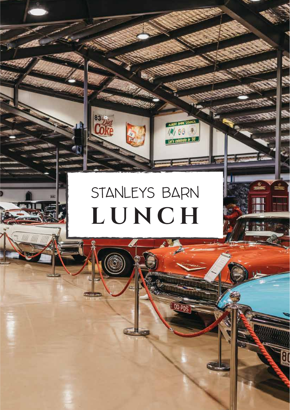# STANLEYS BARN LUNCH

00 PDS

 $\mathfrak{g}_0$ 

83.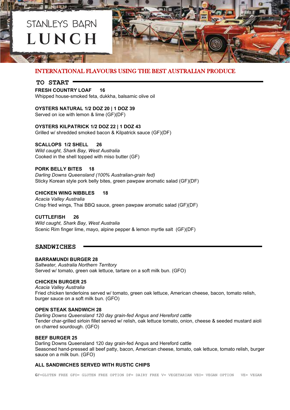

## INTERNATIONAL FLAVOURS USING THE BEST AUSTRALIAN PRODUCE

### **TO START**

#### **FRESH COUNTRY LOAF 16**

Whipped house-smoked feta, dukkha, balsamic olive oil

## **OYSTERS NATURAL 1/2 DOZ 20 | 1 DOZ 39**

Served on ice with lemon & lime (GF)(DF)

## **OYSTERS KILPATRICK 1/2 DOZ 22 | 1 DOZ 43**

Grilled w/ shredded smoked bacon & Kilpatrick sauce (GF)(DF)

## **SCALLOPS 1/2 SHELL 26**

*Wild caught, Shark Bay, West Australia* Cooked in the shell topped with miso butter (GF)

## **PORK BELLY BITES 18**

*Darling Downs Queensland (100% Australian-grain fed)* Sticky Korean style pork belly bites, green pawpaw aromatic salad (GF)(DF)

## **CHICKEN WING NIBBLES 18**

*Acacia Valley Australia* Crisp fried wings, Thai BBQ sauce, green pawpaw aromatic salad (GF)(DF)

## **CUTTLEFISH 26**

*Wild caught, Shark Bay, West Australia* Scenic Rim finger lime, mayo, alpine pepper & lemon myrtle salt (GF)(DF)

## **SANDWICHES**

## **BARRAMUNDI BURGER 28**

*Saltwater, Australia Northern Territory* Served w/ tomato, green oak lettuce, tartare on a soft milk bun. (GFO)

## **CHICKEN BURGER 25**

*Acacia Valley Australia* Fried chicken tenderloins served w/ tomato, green oak lettuce, American cheese, bacon, tomato relish, burger sauce on a soft milk bun. (GFO)

## **OPEN STEAK SANDWICH 28**

*Darling Downs Queensland 120 day grain-fed Angus and Hereford cattle* Tender char-grilled sirloin fillet served w/ relish, oak lettuce tomato, onion, cheese & seeded mustard aioli on charred sourdough. (GFO)

### **BEEF BURGER 25**

Darling Downs Queensland 120 day grain-fed Angus and Hereford cattle Seasoned hand-pressed all beef patty, bacon, American cheese, tomato, oak lettuce, tomato relish, burger sauce on a milk bun. (GFO)

## **ALL SANDWICHES SERVED WITH RUSTIC CHIPS**

GF=GLUTEN FREE GFO= GLUTEN FREE OPTION DF= DAIRY FREE V= VEGETARIAN VEO= VEGAN OPTION VE= VEGAN